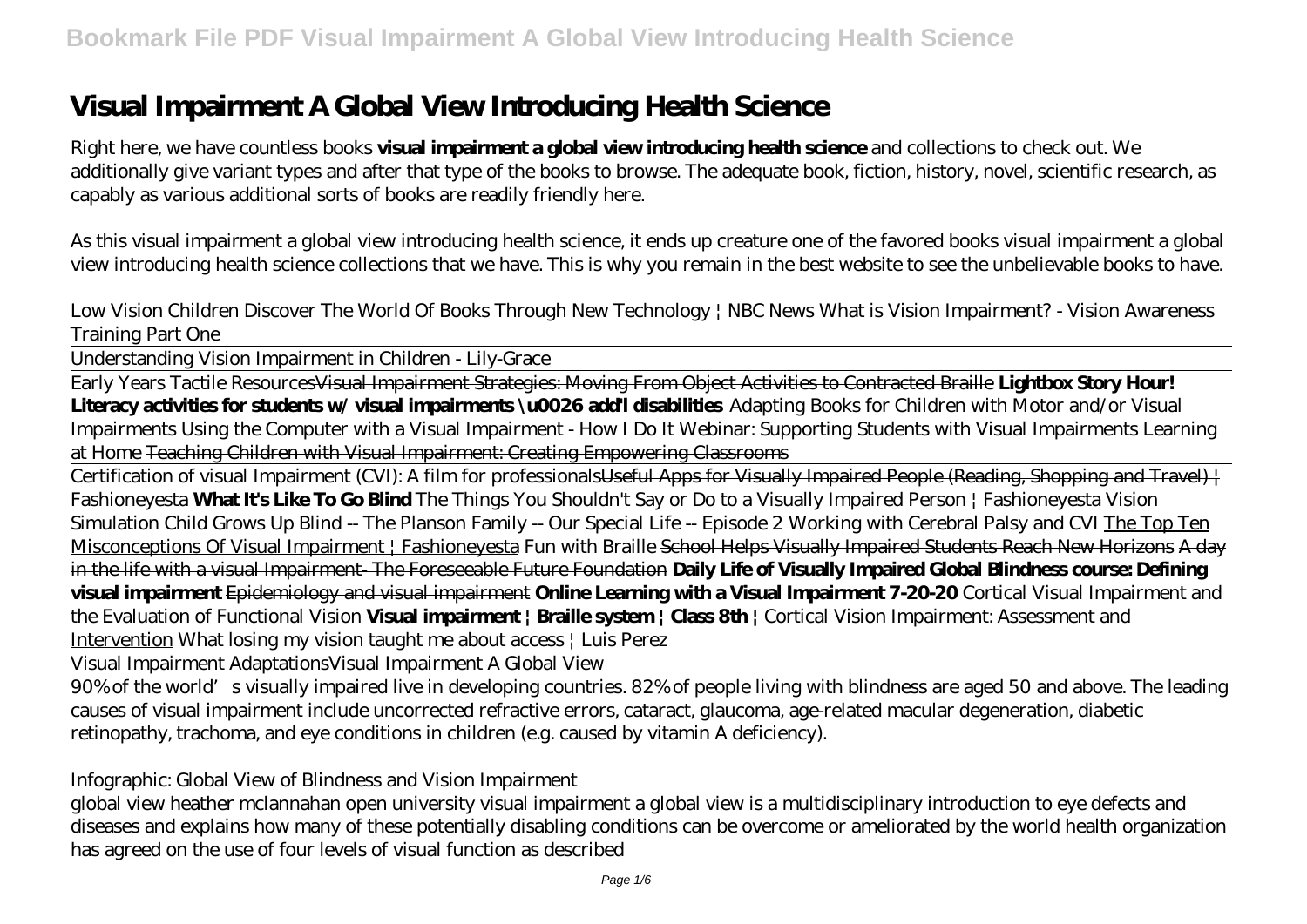# **Visual Impairment A Global View Introducing Health Science**

Right here, we have countless books **visual impairment a global view introducing health science** and collections to check out. We additionally give variant types and after that type of the books to browse. The adequate book, fiction, history, novel, scientific research, as capably as various additional sorts of books are readily friendly here.

As this visual impairment a global view introducing health science, it ends up creature one of the favored books visual impairment a global view introducing health science collections that we have. This is why you remain in the best website to see the unbelievable books to have.

*Low Vision Children Discover The World Of Books Through New Technology | NBC News* What is Vision Impairment? - Vision Awareness Training Part One

Understanding Vision Impairment in Children - Lily-Grace

Early Years Tactile ResourcesVisual Impairment Strategies: Moving From Object Activities to Contracted Braille **Lightbox Story Hour! Literacy activities for students w/ visual impairments \u0026 add'l disabilities** *Adapting Books for Children with Motor and/or Visual Impairments Using the Computer with a Visual Impairment - How I Do It Webinar: Supporting Students with Visual Impairments Learning at Home* Teaching Children with Visual Impairment: Creating Empowering Classrooms

Certification of visual Impairment (CVI): A film for professionalsUseful Apps for Visually Impaired People (Reading, Shopping and Travel) + Fashioneyesta **What It's Like To Go Blind** *The Things You Shouldn't Say or Do to a Visually Impaired Person | Fashioneyesta Vision Simulation* Child Grows Up Blind -- The Planson Family -- Our Special Life -- Episode 2 *Working with Cerebral Palsy and CVI* The Top Ten Misconceptions Of Visual Impairment | Fashioneyesta *Fun with Braille* School Helps Visually Impaired Students Reach New Horizons A day in the life with a visual Impairment- The Foreseeable Future Foundation **Daily Life of Visually Impaired Global Blindness course: Defining visual impairment** Epidemiology and visual impairment **Online Learning with a Visual Impairment 7-20-20** *Cortical Visual Impairment and the Evaluation of Functional Vision* **Visual impairment | Braille system | Class 8th |** Cortical Vision Impairment: Assessment and Intervention *What losing my vision taught me about access | Luis Perez*

Visual Impairment Adaptations*Visual Impairment A Global View*

90% of the world's visually impaired live in developing countries. 82% of people living with blindness are aged 50 and above. The leading causes of visual impairment include uncorrected refractive errors, cataract, glaucoma, age-related macular degeneration, diabetic retinopathy, trachoma, and eye conditions in children (e.g. caused by vitamin A deficiency).

#### *Infographic: Global View of Blindness and Vision Impairment*

global view heather mclannahan open university visual impairment a global view is a multidisciplinary introduction to eye defects and diseases and explains how many of these potentially disabling conditions can be overcome or ameliorated by the world health organization has agreed on the use of four levels of visual function as described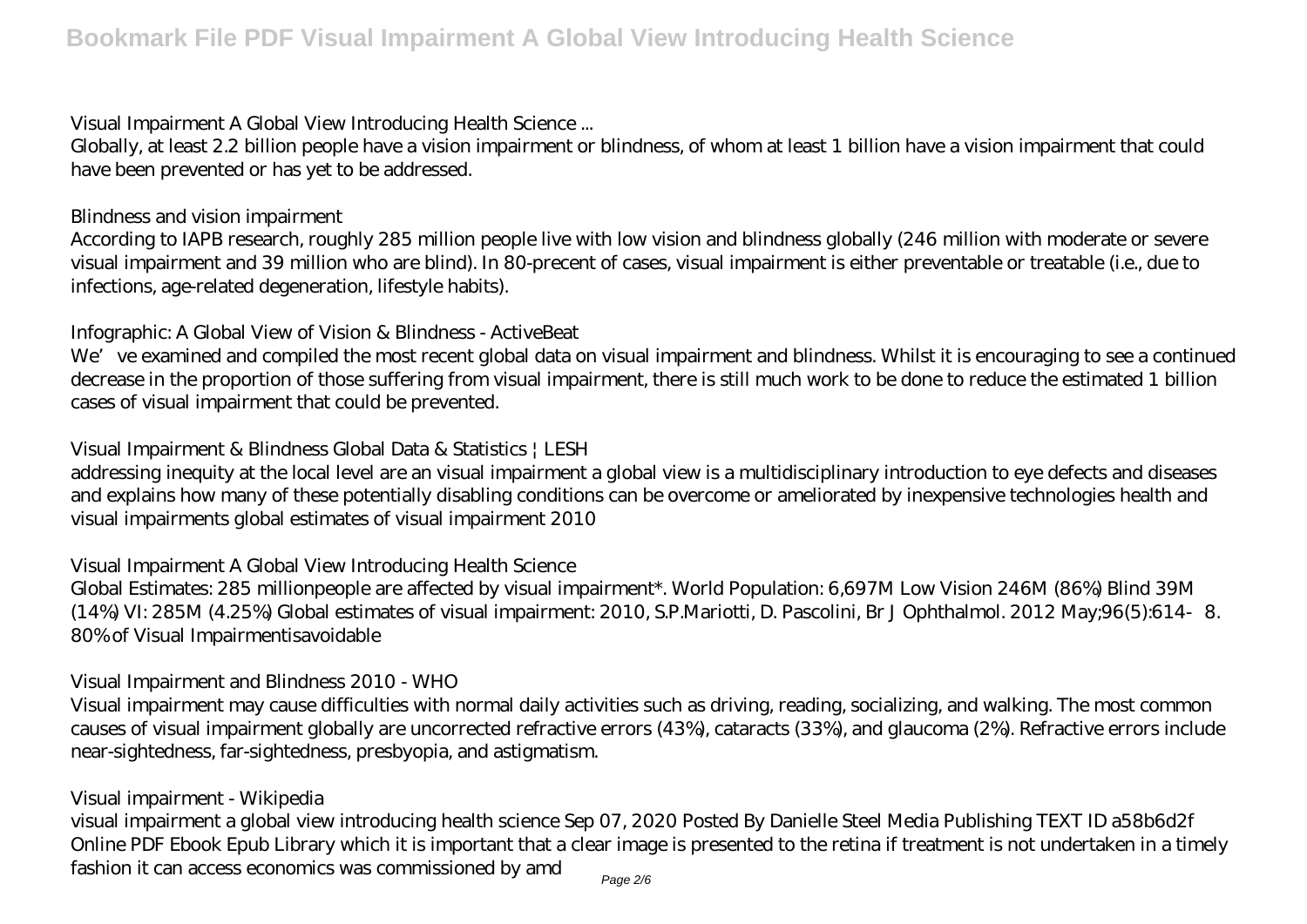#### *Visual Impairment A Global View Introducing Health Science ...*

Globally, at least 2.2 billion people have a vision impairment or blindness, of whom at least 1 billion have a vision impairment that could have been prevented or has yet to be addressed.

#### *Blindness and vision impairment*

According to IAPB research, roughly 285 million people live with low vision and blindness globally (246 million with moderate or severe visual impairment and 39 million who are blind). In 80-precent of cases, visual impairment is either preventable or treatable (i.e., due to infections, age-related degeneration, lifestyle habits).

#### *Infographic: A Global View of Vision & Blindness - ActiveBeat*

We've examined and compiled the most recent global data on visual impairment and blindness. Whilst it is encouraging to see a continued decrease in the proportion of those suffering from visual impairment, there is still much work to be done to reduce the estimated 1 billion cases of visual impairment that could be prevented.

#### *Visual Impairment & Blindness Global Data & Statistics | LESH*

addressing inequity at the local level are an visual impairment a global view is a multidisciplinary introduction to eye defects and diseases and explains how many of these potentially disabling conditions can be overcome or ameliorated by inexpensive technologies health and visual impairments global estimates of visual impairment 2010

#### *Visual Impairment A Global View Introducing Health Science*

Global Estimates: 285 millionpeople are affected by visual impairment\*. World Population: 6,697M Low Vision 246M (86%) Blind 39M (14%) VI: 285M (4.25%) Global estimates of visual impairment: 2010, S.P.Mariotti, D. Pascolini, Br J Ophthalmol. 2012 May;96(5):614‐8. 80% of Visual Impairmentisavoidable

#### *Visual Impairment and Blindness 2010 - WHO*

Visual impairment may cause difficulties with normal daily activities such as driving, reading, socializing, and walking. The most common causes of visual impairment globally are uncorrected refractive errors (43%), cataracts (33%), and glaucoma (2%). Refractive errors include near-sightedness, far-sightedness, presbyopia, and astigmatism.

#### *Visual impairment - Wikipedia*

visual impairment a global view introducing health science Sep 07, 2020 Posted By Danielle Steel Media Publishing TEXT ID a58b6d2f Online PDF Ebook Epub Library which it is important that a clear image is presented to the retina if treatment is not undertaken in a timely fashion it can access economics was commissioned by amd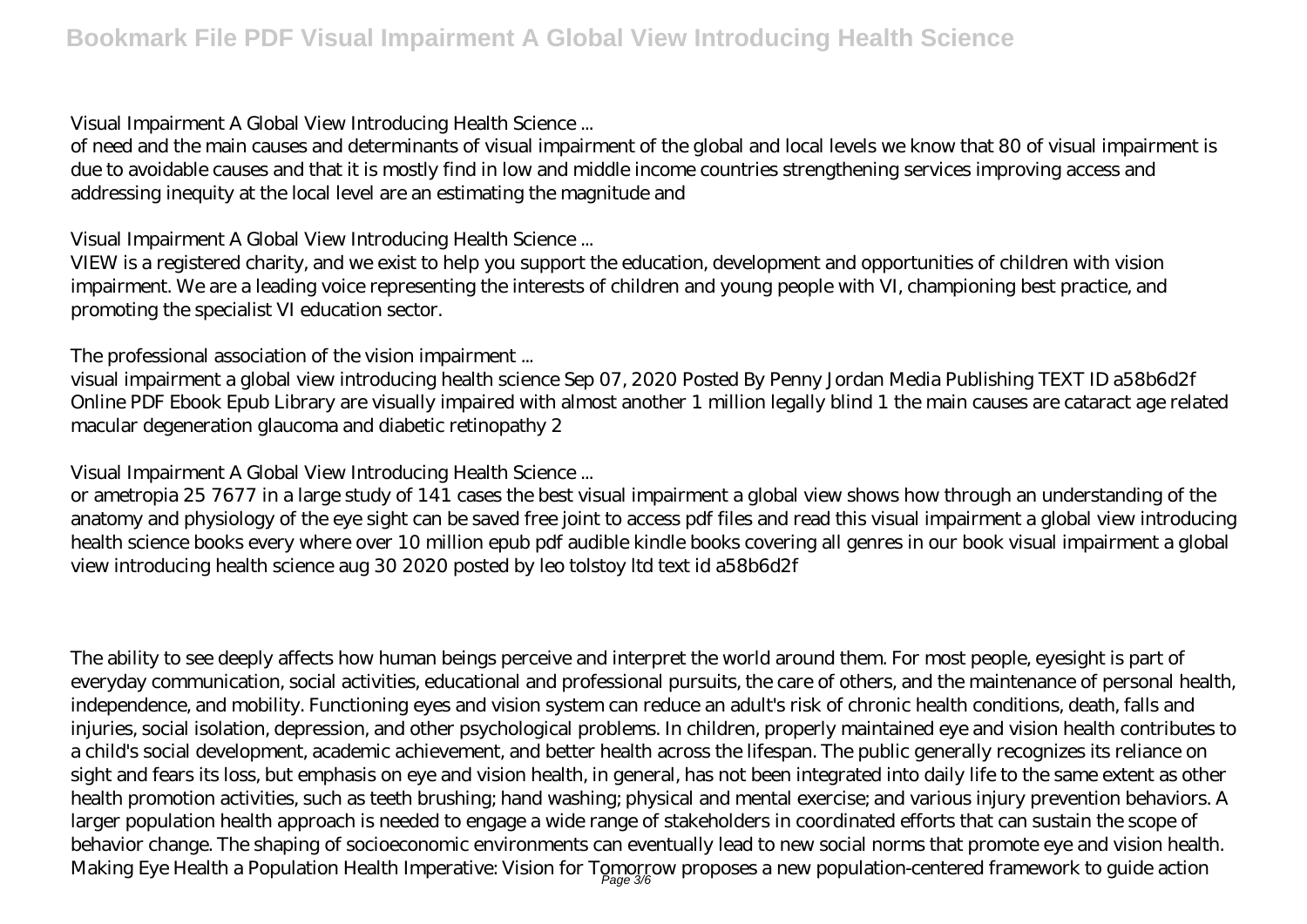#### *Visual Impairment A Global View Introducing Health Science ...*

of need and the main causes and determinants of visual impairment of the global and local levels we know that 80 of visual impairment is due to avoidable causes and that it is mostly find in low and middle income countries strengthening services improving access and addressing inequity at the local level are an estimating the magnitude and

### *Visual Impairment A Global View Introducing Health Science ...*

VIEW is a registered charity, and we exist to help you support the education, development and opportunities of children with vision impairment. We are a leading voice representing the interests of children and young people with VI, championing best practice, and promoting the specialist VI education sector.

### *The professional association of the vision impairment ...*

visual impairment a global view introducing health science Sep 07, 2020 Posted By Penny Jordan Media Publishing TEXT ID a58b6d2f Online PDF Ebook Epub Library are visually impaired with almost another 1 million legally blind 1 the main causes are cataract age related macular degeneration glaucoma and diabetic retinopathy 2

### *Visual Impairment A Global View Introducing Health Science ...*

or ametropia 25 7677 in a large study of 141 cases the best visual impairment a global view shows how through an understanding of the anatomy and physiology of the eye sight can be saved free joint to access pdf files and read this visual impairment a global view introducing health science books every where over 10 million epub pdf audible kindle books covering all genres in our book visual impairment a global view introducing health science aug 30 2020 posted by leo tolstoy ltd text id a58b6d2f

The ability to see deeply affects how human beings perceive and interpret the world around them. For most people, eyesight is part of everyday communication, social activities, educational and professional pursuits, the care of others, and the maintenance of personal health, independence, and mobility. Functioning eyes and vision system can reduce an adult's risk of chronic health conditions, death, falls and injuries, social isolation, depression, and other psychological problems. In children, properly maintained eye and vision health contributes to a child's social development, academic achievement, and better health across the lifespan. The public generally recognizes its reliance on sight and fears its loss, but emphasis on eye and vision health, in general, has not been integrated into daily life to the same extent as other health promotion activities, such as teeth brushing; hand washing; physical and mental exercise; and various injury prevention behaviors. A larger population health approach is needed to engage a wide range of stakeholders in coordinated efforts that can sustain the scope of behavior change. The shaping of socioeconomic environments can eventually lead to new social norms that promote eye and vision health. Making Eye Health a Population Health Imperative: Vision for Tomorrow proposes a new population-centered framework to guide action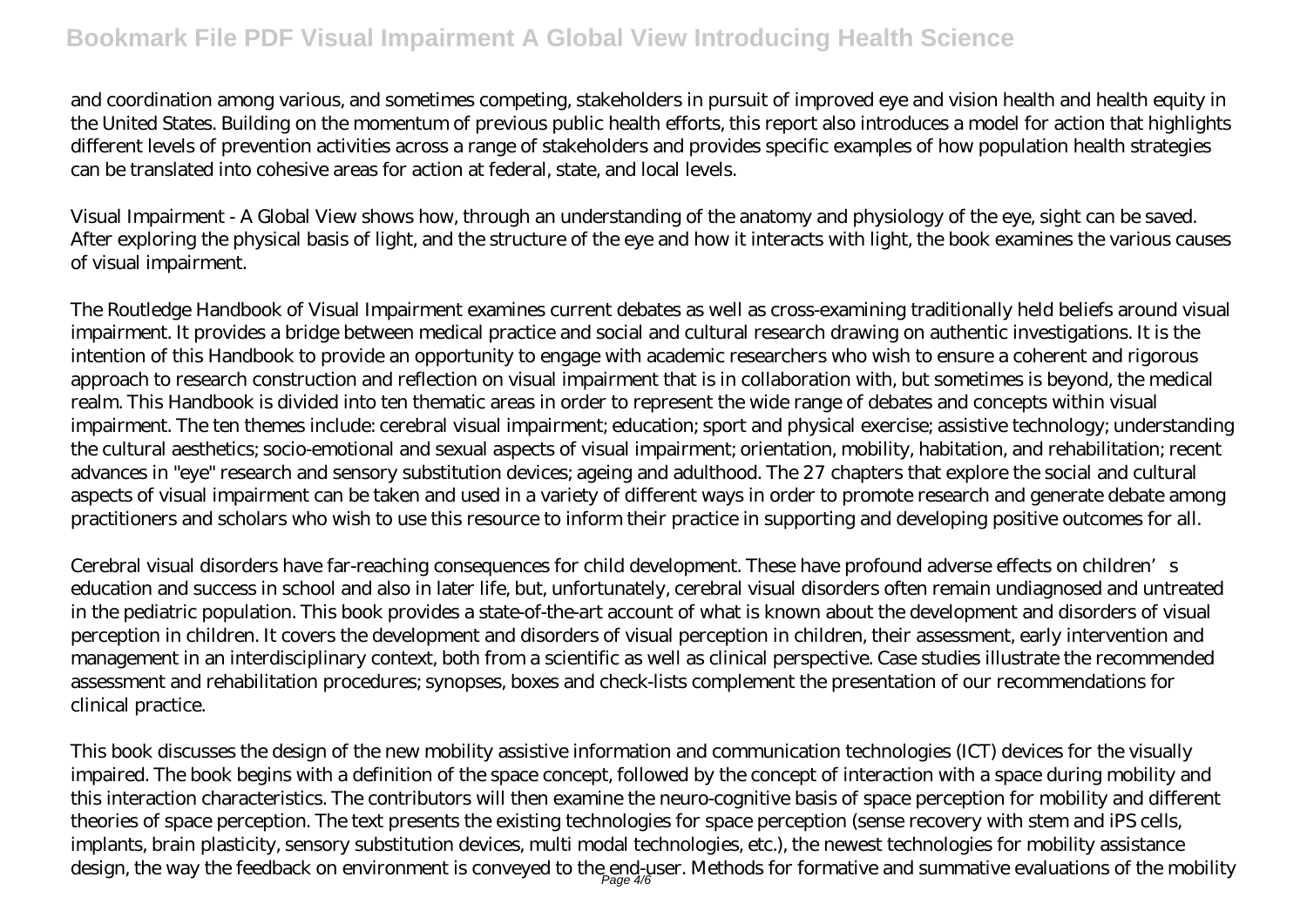# **Bookmark File PDF Visual Impairment A Global View Introducing Health Science**

and coordination among various, and sometimes competing, stakeholders in pursuit of improved eye and vision health and health equity in the United States. Building on the momentum of previous public health efforts, this report also introduces a model for action that highlights different levels of prevention activities across a range of stakeholders and provides specific examples of how population health strategies can be translated into cohesive areas for action at federal, state, and local levels.

Visual Impairment - A Global View shows how, through an understanding of the anatomy and physiology of the eye, sight can be saved. After exploring the physical basis of light, and the structure of the eye and how it interacts with light, the book examines the various causes of visual impairment.

The Routledge Handbook of Visual Impairment examines current debates as well as cross-examining traditionally held beliefs around visual impairment. It provides a bridge between medical practice and social and cultural research drawing on authentic investigations. It is the intention of this Handbook to provide an opportunity to engage with academic researchers who wish to ensure a coherent and rigorous approach to research construction and reflection on visual impairment that is in collaboration with, but sometimes is beyond, the medical realm. This Handbook is divided into ten thematic areas in order to represent the wide range of debates and concepts within visual impairment. The ten themes include: cerebral visual impairment; education; sport and physical exercise; assistive technology; understanding the cultural aesthetics; socio-emotional and sexual aspects of visual impairment; orientation, mobility, habitation, and rehabilitation; recent advances in "eye" research and sensory substitution devices; ageing and adulthood. The 27 chapters that explore the social and cultural aspects of visual impairment can be taken and used in a variety of different ways in order to promote research and generate debate among practitioners and scholars who wish to use this resource to inform their practice in supporting and developing positive outcomes for all.

Cerebral visual disorders have far-reaching consequences for child development. These have profound adverse effects on children's education and success in school and also in later life, but, unfortunately, cerebral visual disorders often remain undiagnosed and untreated in the pediatric population. This book provides a state-of-the-art account of what is known about the development and disorders of visual perception in children. It covers the development and disorders of visual perception in children, their assessment, early intervention and management in an interdisciplinary context, both from a scientific as well as clinical perspective. Case studies illustrate the recommended assessment and rehabilitation procedures; synopses, boxes and check-lists complement the presentation of our recommendations for clinical practice.

This book discusses the design of the new mobility assistive information and communication technologies (ICT) devices for the visually impaired. The book begins with a definition of the space concept, followed by the concept of interaction with a space during mobility and this interaction characteristics. The contributors will then examine the neuro-cognitive basis of space perception for mobility and different theories of space perception. The text presents the existing technologies for space perception (sense recovery with stem and iPS cells, implants, brain plasticity, sensory substitution devices, multi modal technologies, etc.), the newest technologies for mobility assistance design, the way the feedback on environment is conveyed to the end-user. Methods for formative and summative evaluations of the mobility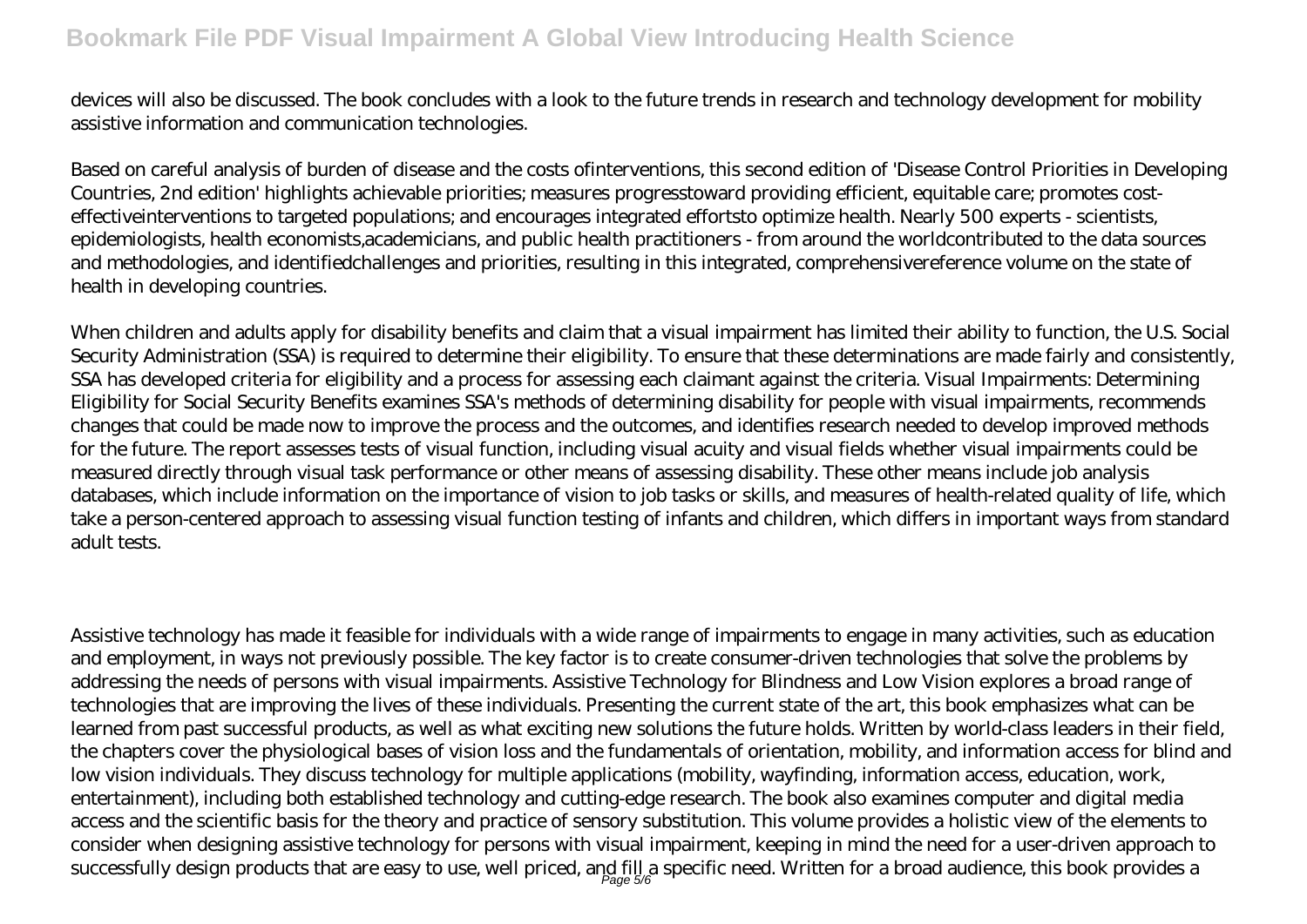# **Bookmark File PDF Visual Impairment A Global View Introducing Health Science**

devices will also be discussed. The book concludes with a look to the future trends in research and technology development for mobility assistive information and communication technologies.

Based on careful analysis of burden of disease and the costs ofinterventions, this second edition of 'Disease Control Priorities in Developing Countries, 2nd edition' highlights achievable priorities; measures progresstoward providing efficient, equitable care; promotes costeffectiveinterventions to targeted populations; and encourages integrated effortsto optimize health. Nearly 500 experts - scientists, epidemiologists, health economists,academicians, and public health practitioners - from around the worldcontributed to the data sources and methodologies, and identifiedchallenges and priorities, resulting in this integrated, comprehensivereference volume on the state of health in developing countries.

When children and adults apply for disability benefits and claim that a visual impairment has limited their ability to function, the U.S. Social Security Administration (SSA) is required to determine their eligibility. To ensure that these determinations are made fairly and consistently, SSA has developed criteria for eligibility and a process for assessing each claimant against the criteria. Visual Impairments: Determining Eligibility for Social Security Benefits examines SSA's methods of determining disability for people with visual impairments, recommends changes that could be made now to improve the process and the outcomes, and identifies research needed to develop improved methods for the future. The report assesses tests of visual function, including visual acuity and visual fields whether visual impairments could be measured directly through visual task performance or other means of assessing disability. These other means include job analysis databases, which include information on the importance of vision to job tasks or skills, and measures of health-related quality of life, which take a person-centered approach to assessing visual function testing of infants and children, which differs in important ways from standard adult tests.

Assistive technology has made it feasible for individuals with a wide range of impairments to engage in many activities, such as education and employment, in ways not previously possible. The key factor is to create consumer-driven technologies that solve the problems by addressing the needs of persons with visual impairments. Assistive Technology for Blindness and Low Vision explores a broad range of technologies that are improving the lives of these individuals. Presenting the current state of the art, this book emphasizes what can be learned from past successful products, as well as what exciting new solutions the future holds. Written by world-class leaders in their field, the chapters cover the physiological bases of vision loss and the fundamentals of orientation, mobility, and information access for blind and low vision individuals. They discuss technology for multiple applications (mobility, wayfinding, information access, education, work, entertainment), including both established technology and cutting-edge research. The book also examines computer and digital media access and the scientific basis for the theory and practice of sensory substitution. This volume provides a holistic view of the elements to consider when designing assistive technology for persons with visual impairment, keeping in mind the need for a user-driven approach to successfully design products that are easy to use, well priced, and fill a specific need. Written for a broad audience, this book provides a